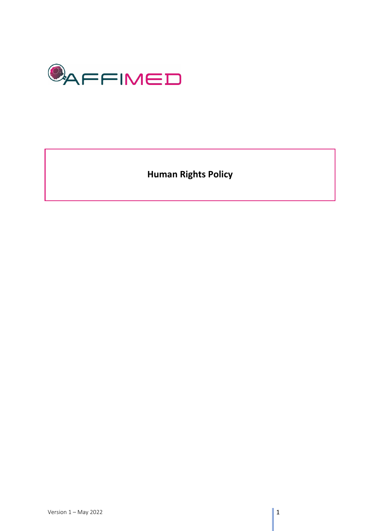

**Human Rights Policy**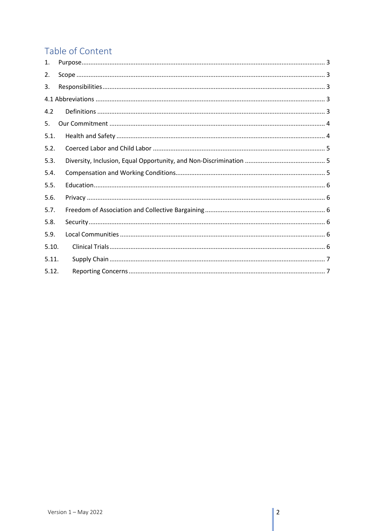# Table of Content

| 1.    |  |  |  |  |
|-------|--|--|--|--|
| 2.    |  |  |  |  |
| 3.    |  |  |  |  |
|       |  |  |  |  |
| 4.2   |  |  |  |  |
| 5.    |  |  |  |  |
| 5.1.  |  |  |  |  |
| 5.2.  |  |  |  |  |
| 5.3.  |  |  |  |  |
| 5.4.  |  |  |  |  |
| 5.5.  |  |  |  |  |
| 5.6.  |  |  |  |  |
| 5.7.  |  |  |  |  |
| 5.8.  |  |  |  |  |
| 5.9.  |  |  |  |  |
| 5.10. |  |  |  |  |
| 5.11. |  |  |  |  |
| 5.12. |  |  |  |  |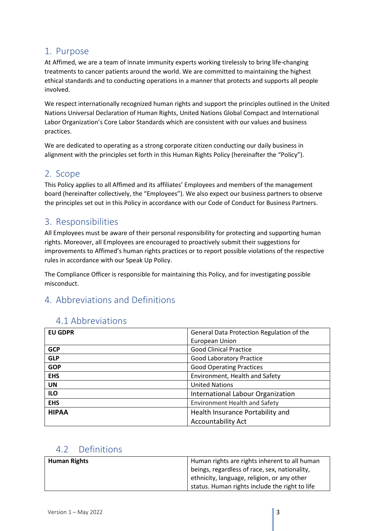#### <span id="page-2-0"></span>1. Purpose

At Affimed, we are a team of innate immunity experts working tirelessly to bring life-changing treatments to cancer patients around the world. We are committed to maintaining the highest ethical standards and to conducting operations in a manner that protects and supports all people involved.

We respect internationally recognized human rights and support the principles outlined in the United Nations Universal Declaration of Human Rights, United Nations Global Compact and International Labor Organization's Core Labor Standards which are consistent with our values and business practices.

We are dedicated to operating as a strong corporate citizen conducting our daily business in alignment with the principles set forth in this Human Rights Policy (hereinafter the "Policy").

#### <span id="page-2-1"></span>2. Scope

This Policy applies to all Affimed and its affiliates' Employees and members of the management board (hereinafter collectively, the "Employees"). We also expect our business partners to observe the principles set out in this Policy in accordance with our Code of Conduct for Business Partners.

### <span id="page-2-2"></span>3. Responsibilities

All Employees must be aware of their personal responsibility for protecting and supporting human rights. Moreover, all Employees are encouraged to proactively submit their suggestions for improvements to Affimed's human rights practices or to report possible violations of the respective rules in accordance with our Speak Up Policy.

The Compliance Officer is responsible for maintaining this Policy, and for investigating possible misconduct.

## 4. Abbreviations and Definitions

<span id="page-2-3"></span>

| <b>EU GDPR</b> | General Data Protection Regulation of the |
|----------------|-------------------------------------------|
|                | European Union                            |
| <b>GCP</b>     | <b>Good Clinical Practice</b>             |
| <b>GLP</b>     | <b>Good Laboratory Practice</b>           |
| <b>GOP</b>     | <b>Good Operating Practices</b>           |
| <b>EHS</b>     | Environment, Health and Safety            |
| <b>UN</b>      | <b>United Nations</b>                     |
| <b>ILO</b>     | International Labour Organization         |
| <b>EHS</b>     | <b>Environment Health and Safety</b>      |
| <b>HIPAA</b>   | Health Insurance Portability and          |
|                | <b>Accountability Act</b>                 |

### <span id="page-2-4"></span>4.2 Definitions

| Human Rights | Human rights are rights inherent to all human  |
|--------------|------------------------------------------------|
|              | beings, regardless of race, sex, nationality,  |
|              | I ethnicity, language, religion, or any other  |
|              | status. Human rights include the right to life |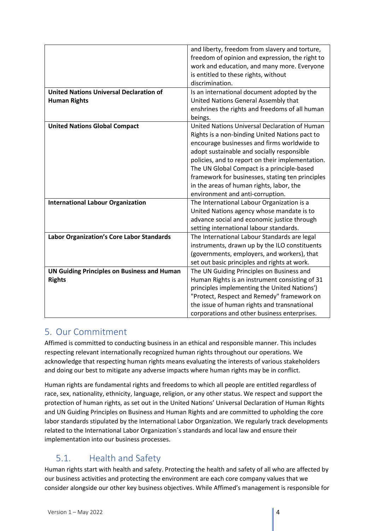|                                                    | and liberty, freedom from slavery and torture,   |
|----------------------------------------------------|--------------------------------------------------|
|                                                    | freedom of opinion and expression, the right to  |
|                                                    | work and education, and many more. Everyone      |
|                                                    | is entitled to these rights, without             |
|                                                    | discrimination.                                  |
| <b>United Nations Universal Declaration of</b>     | Is an international document adopted by the      |
| <b>Human Rights</b>                                | United Nations General Assembly that             |
|                                                    | enshrines the rights and freedoms of all human   |
|                                                    | beings.                                          |
| <b>United Nations Global Compact</b>               | United Nations Universal Declaration of Human    |
|                                                    | Rights is a non-binding United Nations pact to   |
|                                                    | encourage businesses and firms worldwide to      |
|                                                    | adopt sustainable and socially responsible       |
|                                                    | policies, and to report on their implementation. |
|                                                    | The UN Global Compact is a principle-based       |
|                                                    | framework for businesses, stating ten principles |
|                                                    | in the areas of human rights, labor, the         |
|                                                    | environment and anti-corruption.                 |
| <b>International Labour Organization</b>           | The International Labour Organization is a       |
|                                                    | United Nations agency whose mandate is to        |
|                                                    | advance social and economic justice through      |
|                                                    | setting international labour standards.          |
| <b>Labor Organization's Core Labor Standards</b>   | The International Labour Standards are legal     |
|                                                    | instruments, drawn up by the ILO constituents    |
|                                                    | (governments, employers, and workers), that      |
|                                                    | set out basic principles and rights at work.     |
| <b>UN Guiding Principles on Business and Human</b> | The UN Guiding Principles on Business and        |
| <b>Rights</b>                                      | Human Rights is an instrument consisting of 31   |
|                                                    | principles implementing the United Nations')     |
|                                                    | "Protect, Respect and Remedy" framework on       |
|                                                    | the issue of human rights and transnational      |
|                                                    | corporations and other business enterprises.     |

#### <span id="page-3-0"></span>5. Our Commitment

Affimed is committed to conducting business in an ethical and responsible manner. This includes respecting relevant internationally recognized human rights throughout our operations. We acknowledge that respecting human rights means evaluating the interests of various stakeholders and doing our best to mitigate any adverse impacts where human rights may be in conflict.

Human rights are fundamental rights and freedoms to which all people are entitled regardless of race, sex, nationality, ethnicity, language, religion, or any other status. We respect and support the protection of human rights, as set out in the United Nations' Universal Declaration of Human Rights and UN Guiding Principles on Business and Human Rights and are committed to upholding the core labor standards stipulated by the International Labor Organization. We regularly track developments related to the International Labor Organization´s standards and local law and ensure their implementation into our business processes.

## <span id="page-3-1"></span>5.1. Health and Safety

Human rights start with health and safety. Protecting the health and safety of all who are affected by our business activities and protecting the environment are each core company values that we consider alongside our other key business objectives. While Affimed's management is responsible for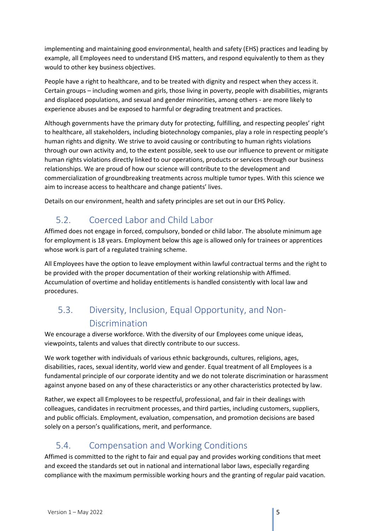implementing and maintaining good environmental, health and safety (EHS) practices and leading by example, all Employees need to understand EHS matters, and respond equivalently to them as they would to other key business objectives.

People have a right to healthcare, and to be treated with dignity and respect when they access it. Certain groups – including women and girls, those living in poverty, people with disabilities, migrants and displaced populations, and sexual and gender minorities, among others - are more likely to experience abuses and be exposed to harmful or degrading treatment and practices.

Although governments have the primary duty for protecting, fulfilling, and respecting peoples' right to healthcare, all stakeholders, including biotechnology companies, play a role in respecting people's human rights and dignity. We strive to avoid causing or contributing to human rights violations through our own activity and, to the extent possible, seek to use our influence to prevent or mitigate human rights violations directly linked to our operations, products or services through our business relationships. We are proud of how our science will contribute to the development and commercialization of groundbreaking treatments across multiple tumor types. With this science we aim to increase access to healthcare and change patients' lives.

Details on our environment, health and safety principles are set out in our EHS Policy.

## <span id="page-4-0"></span>5.2. Coerced Labor and Child Labor

Affimed does not engage in forced, compulsory, bonded or child labor. The absolute minimum age for employment is 18 years. Employment below this age is allowed only for trainees or apprentices whose work is part of a regulated training scheme.

All Employees have the option to leave employment within lawful contractual terms and the right to be provided with the proper documentation of their working relationship with Affimed. Accumulation of overtime and holiday entitlements is handled consistently with local law and procedures.

## <span id="page-4-1"></span>5.3. Diversity, Inclusion, Equal Opportunity, and Non-Discrimination

We encourage a diverse workforce. With the diversity of our Employees come unique ideas, viewpoints, talents and values that directly contribute to our success.

We work together with individuals of various ethnic backgrounds, cultures, religions, ages, disabilities, races, sexual identity, world view and gender. Equal treatment of all Employees is a fundamental principle of our corporate identity and we do not tolerate discrimination or harassment against anyone based on any of these characteristics or any other characteristics protected by law.

Rather, we expect all Employees to be respectful, professional, and fair in their dealings with colleagues, candidates in recruitment processes, and third parties, including customers, suppliers, and public officials. Employment, evaluation, compensation, and promotion decisions are based solely on a person's qualifications, merit, and performance.

## <span id="page-4-2"></span>5.4. Compensation and Working Conditions

Affimed is committed to the right to fair and equal pay and provides working conditions that meet and exceed the standards set out in national and international labor laws, especially regarding compliance with the maximum permissible working hours and the granting of regular paid vacation.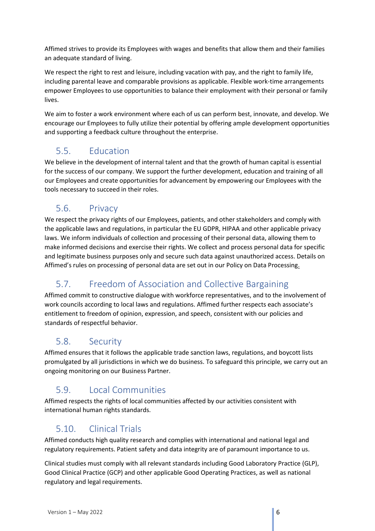Affimed strives to provide its Employees with wages and benefits that allow them and their families an adequate standard of living.

We respect the right to rest and leisure, including vacation with pay, and the right to family life, including parental leave and comparable provisions as applicable. Flexible work-time arrangements empower Employees to use opportunities to balance their employment with their personal or family lives.

We aim to foster a work environment where each of us can perform best, innovate, and develop. We encourage our Employees to fully utilize their potential by offering ample development opportunities and supporting a feedback culture throughout the enterprise.

## <span id="page-5-0"></span>5.5. Education

We believe in the development of internal talent and that the growth of human capital is essential for the success of our company. We support the further development, education and training of all our Employees and create opportunities for advancement by empowering our Employees with the tools necessary to succeed in their roles.

### <span id="page-5-1"></span>5.6. Privacy

We respect the privacy rights of our Employees, patients, and other stakeholders and comply with the applicable laws and regulations, in particular the EU GDPR, HIPAA and other applicable privacy laws. We inform individuals of collection and processing of their personal data, allowing them to make informed decisions and exercise their rights. We collect and process personal data for specific and legitimate business purposes only and secure such data against unauthorized access. Details on Affimed's rules on processing of personal data are set out in our Policy on Data Processing.

# <span id="page-5-2"></span>5.7. Freedom of Association and Collective Bargaining

Affimed commit to constructive dialogue with workforce representatives, and to the involvement of work councils according to local laws and regulations. Affimed further respects each associate's entitlement to freedom of opinion, expression, and speech, consistent with our policies and standards of respectful behavior.

## <span id="page-5-3"></span>5.8. Security

Affimed ensures that it follows the applicable trade sanction laws, regulations, and boycott lists promulgated by all jurisdictions in which we do business. To safeguard this principle, we carry out an ongoing monitoring on our Business Partner.

## <span id="page-5-4"></span>5.9. Local Communities

Affimed respects the rights of local communities affected by our activities consistent with international human rights standards.

## <span id="page-5-5"></span>5.10. Clinical Trials

Affimed conducts high quality research and complies with international and national legal and regulatory requirements. Patient safety and data integrity are of paramount importance to us.

Clinical studies must comply with all relevant standards including Good Laboratory Practice (GLP), Good Clinical Practice (GCP) and other applicable Good Operating Practices, as well as national regulatory and legal requirements.